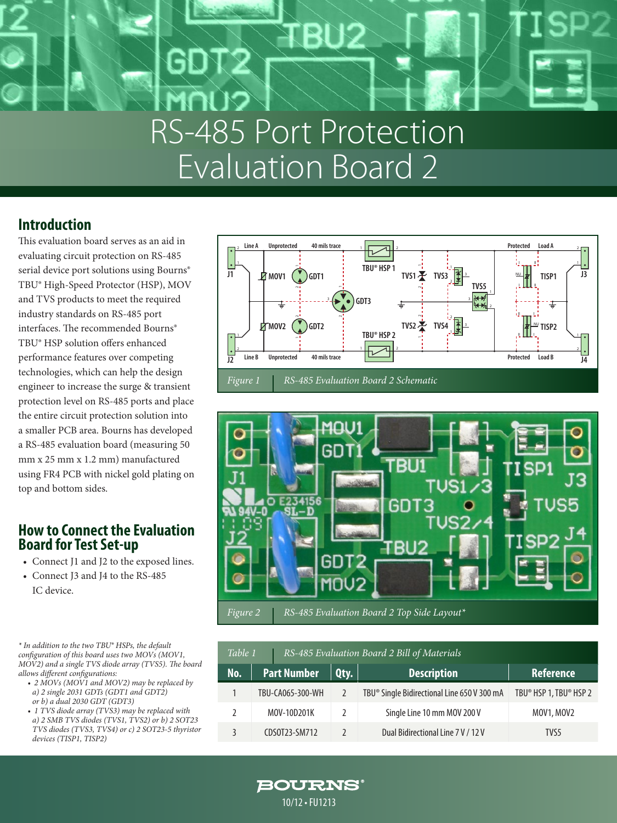# RS-485 Port Protection Evaluation Board 2

### **Introduction**

This evaluation board serves as an aid in evaluating circuit protection on RS-485 serial device port solutions using Bourns® TBU® High-Speed Protector (HSP), MOV and TVS products to meet the required industry standards on RS-485 port interfaces. The recommended Bourns® TBU® HSP solution offers enhanced performance features over competing technologies, which can help the design engineer to increase the surge & transient protection level on RS-485 ports and place the entire circuit protection solution into a smaller PCB area. Bourns has developed a RS-485 evaluation board (measuring 50 mm x 25 mm x 1.2 mm) manufactured using FR4 PCB with nickel gold plating on top and bottom sides.

### **How to Connect the Evaluation Board for Test Set-up**

- Connect J1 and J2 to the exposed lines.
- Connect J3 and J4 to the RS-485 IC device.

*\* In addition to the two TBU® HSPs, the default configuration of this board uses two MOVs (MOV1, MOV2) and a single TVS diode array (TVS5). The board allows different configurations:*

- *2 MOVs (MOV1 and MOV2) may be replaced by a) 2 single 2031 GDTs (GDT1 and GDT2) or b) a dual 2030 GDT (GDT3)*
- *1 TVS diode array (TVS3) may be replaced with a) 2 SMB TVS diodes (TVS1, TVS2) or b) 2 SOT23 TVS diodes (TVS3, TVS4) or c) 2 SOT23-5 thyristor devices (TISP1, TISP2)*





| rure 2 | $\parallel$ RS-485 Evaluation Board 2 Top Side Layout* |  |
|--------|--------------------------------------------------------|--|
|        |                                                        |  |

| RS-485 Evaluation Board 2 Bill of Materials<br>Table 1 |                    |               |                                                         |                        |  |
|--------------------------------------------------------|--------------------|---------------|---------------------------------------------------------|------------------------|--|
| No.                                                    | <b>Part Number</b> | $Q$ ty.       | <b>Description</b>                                      | <b>Reference</b>       |  |
|                                                        | TBU-CA065-300-WH   |               | TBU <sup>®</sup> Single Bidirectional Line 650 V 300 mA | TBU® HSP 1, TBU® HSP 2 |  |
|                                                        | MOV-10D201K        | $\mathcal{L}$ | Single Line 10 mm MOV 200 V                             | MOV1, MOV2             |  |
|                                                        | CDS0T23-SM712      |               | Dual Bidirectional Line 7 V / 12 V                      | TVS5                   |  |

**BOURNS®** 10/12 • FU1213